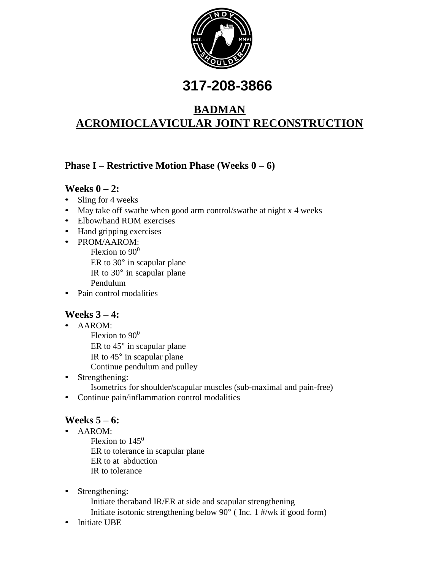

# **317-208-3866**

# **BADMAN ACROMIOCLAVICULAR JOINT RECONSTRUCTION**

# **Phase I – Restrictive Motion Phase (Weeks 0 – 6)**

### **Weeks 0 – 2:**

- Sling for 4 weeks
- May take off swathe when good arm control/swathe at night x 4 weeks
- Elbow/hand ROM exercises
- Hand gripping exercises
- PROM/AAROM:
	- Flexion to  $90^0$ ER to 30° in scapular plane IR to 30° in scapular plane Pendulum
- Pain control modalities

# **Weeks 3 – 4:**

- AAROM:
	- Flexion to  $90^0$ ER to 45° in scapular plane IR to 45° in scapular plane Continue pendulum and pulley
- Strengthening: Isometrics for shoulder/scapular muscles (sub-maximal and pain-free)
- Continue pain/inflammation control modalities

# **Weeks 5 – 6:**

• AAROM:

Flexion to  $145^\circ$ ER to tolerance in scapular plane ER to at abduction IR to tolerance

- Strengthening:
	- Initiate theraband IR/ER at side and scapular strengthening
	- Initiate isotonic strengthening below 90° ( Inc. 1 #/wk if good form)
- Initiate UBE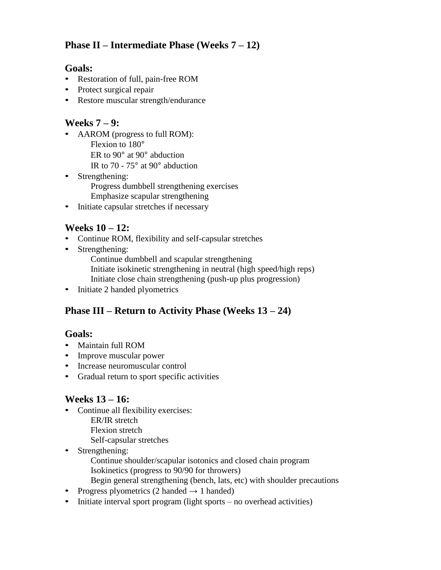# **Phase II – Intermediate Phase (Weeks 7 – 12)**

#### **Goals:**

- Restoration of full, pain-free ROM
- Protect surgical repair
- Restore muscular strength/endurance

#### **Weeks 7 – 9:**

- AAROM (progress to full ROM): Flexion to 180° ER to 90° at 90° abduction IR to 70 - 75° at 90° abduction
- Strengthening: Progress dumbbell strengthening exercises Emphasize scapular strengthening
- Initiate capsular stretches if necessary

#### **Weeks 10 – 12:**

- Continue ROM, flexibility and self-capsular stretches
- Strengthening:
	- Continue dumbbell and scapular strengthening Initiate isokinetic strengthening in neutral (high speed/high reps) Initiate close chain strengthening (push-up plus progression)
- Initiate 2 handed plyometrics

### **Phase III – Return to Activity Phase (Weeks 13 – 24)**

#### **Goals:**

- Maintain full ROM
- Improve muscular power
- Increase neuromuscular control
- Gradual return to sport specific activities

### **Weeks 13 – 16:**

- Continue all flexibility exercises:
	- ER/IR stretch
	- Flexion stretch
	- Self-capsular stretches
- Strengthening:
	- Continue shoulder/scapular isotonics and closed chain program Isokinetics (progress to 90/90 for throwers)
	- Begin general strengthening (bench, lats, etc) with shoulder precautions
- Progress plyometrics (2 handed  $\rightarrow$  1 handed)
- Initiate interval sport program (light sports no overhead activities)